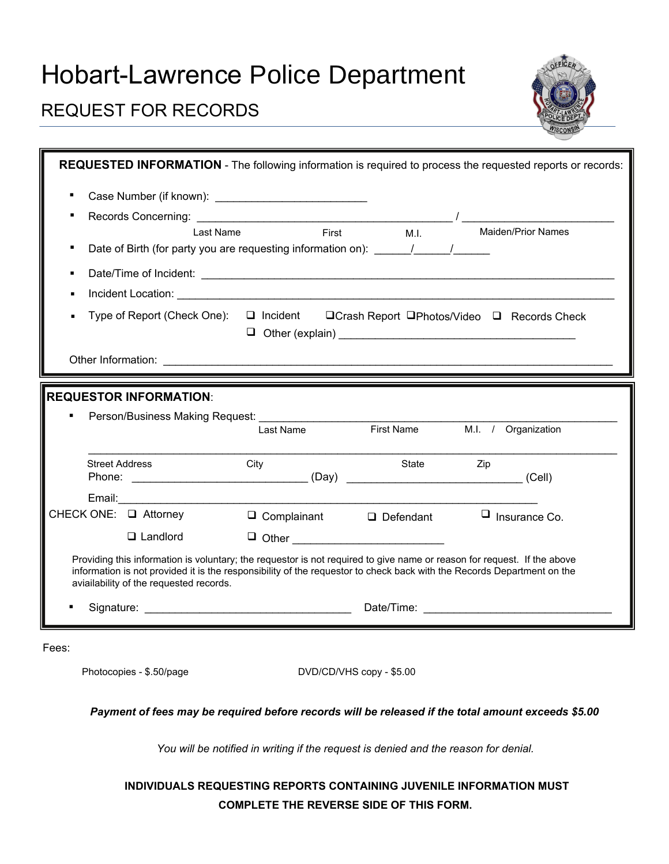# Hobart-Lawrence Police Department

## REQUEST FOR RECORDS

| REQUESTED INFORMATION - The following information is required to process the requested reports or records:                                                                                                                                        |                     |                                     |                                                              |
|---------------------------------------------------------------------------------------------------------------------------------------------------------------------------------------------------------------------------------------------------|---------------------|-------------------------------------|--------------------------------------------------------------|
|                                                                                                                                                                                                                                                   |                     |                                     |                                                              |
|                                                                                                                                                                                                                                                   |                     |                                     |                                                              |
| Last Name                                                                                                                                                                                                                                         | First               | M.I.                                | <b>Maiden/Prior Names</b>                                    |
| Date of Birth (for party you are requesting information on): ______/______/______                                                                                                                                                                 |                     |                                     |                                                              |
|                                                                                                                                                                                                                                                   |                     |                                     |                                                              |
|                                                                                                                                                                                                                                                   |                     |                                     |                                                              |
| Type of Report (Check One):                                                                                                                                                                                                                       |                     |                                     | □ Incident  □ Crash Report  □ Photos/Video  □ Records  Check |
|                                                                                                                                                                                                                                                   |                     |                                     |                                                              |
|                                                                                                                                                                                                                                                   |                     |                                     |                                                              |
| <b>REQUESTOR INFORMATION:</b>                                                                                                                                                                                                                     |                     |                                     |                                                              |
|                                                                                                                                                                                                                                                   |                     | First Name                          |                                                              |
|                                                                                                                                                                                                                                                   | Last Name           |                                     | M.I. / Organization                                          |
| <b>Street Address</b>                                                                                                                                                                                                                             | City                | State                               | Zip.                                                         |
|                                                                                                                                                                                                                                                   |                     |                                     |                                                              |
|                                                                                                                                                                                                                                                   |                     |                                     |                                                              |
| CHECK ONE: □ Attorney                                                                                                                                                                                                                             |                     | $\Box$ Complainant $\Box$ Defendant | $\Box$ Insurance Co.                                         |
| $\Box$ Landlord                                                                                                                                                                                                                                   | $\Box$ Other $\Box$ |                                     |                                                              |
| Providing this information is voluntary; the requestor is not required to give name or reason for request. If the above<br>information is not provided it is the responsibility of the requestor to check back with the Records Department on the |                     |                                     |                                                              |
| aviailability of the requested records.                                                                                                                                                                                                           |                     |                                     |                                                              |

Fees:

Photocopies - \$.50/page DVD/CD/VHS copy - \$5.00

#### *Payment of fees may be required before records will be released if the total amount exceeds \$5.00*

*You will be notified in writing if the request is denied and the reason for denial.*

### **INDIVIDUALS REQUESTING REPORTS CONTAINING JUVENILE INFORMATION MUST COMPLETE THE REVERSE SIDE OF THIS FORM.**